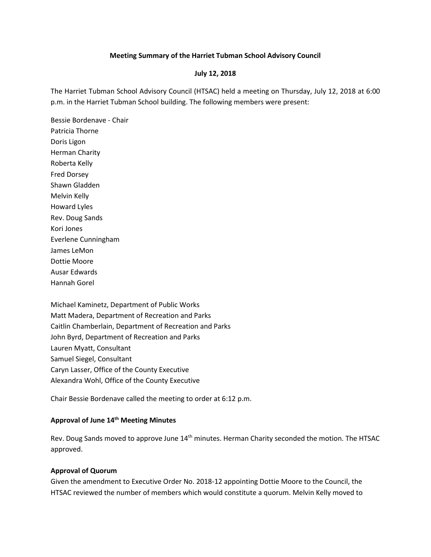#### **Meeting Summary of the Harriet Tubman School Advisory Council**

#### **July 12, 2018**

The Harriet Tubman School Advisory Council (HTSAC) held a meeting on Thursday, July 12, 2018 at 6:00 p.m. in the Harriet Tubman School building. The following members were present:

Bessie Bordenave - Chair Patricia Thorne Doris Ligon Herman Charity Roberta Kelly Fred Dorsey Shawn Gladden Melvin Kelly Howard Lyles Rev. Doug Sands Kori Jones Everlene Cunningham James LeMon Dottie Moore Ausar Edwards Hannah Gorel

Michael Kaminetz, Department of Public Works Matt Madera, Department of Recreation and Parks Caitlin Chamberlain, Department of Recreation and Parks John Byrd, Department of Recreation and Parks Lauren Myatt, Consultant Samuel Siegel, Consultant Caryn Lasser, Office of the County Executive Alexandra Wohl, Office of the County Executive

Chair Bessie Bordenave called the meeting to order at 6:12 p.m.

## **Approval of June 14th Meeting Minutes**

Rev. Doug Sands moved to approve June 14<sup>th</sup> minutes. Herman Charity seconded the motion. The HTSAC approved.

## **Approval of Quorum**

Given the amendment to Executive Order No. 2018-12 appointing Dottie Moore to the Council, the HTSAC reviewed the number of members which would constitute a quorum. Melvin Kelly moved to